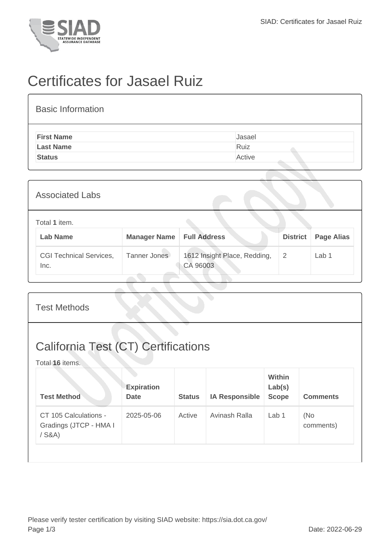

## Certificates for Jasael Ruiz

| <b>Basic Information</b> |        |
|--------------------------|--------|
| <b>First Name</b>        | Jasael |
| <b>Last Name</b>         | Ruiz   |
| <b>Status</b>            | Active |
|                          |        |

| <b>Associated Labs</b>                 |                     |                                          |                 |                   |
|----------------------------------------|---------------------|------------------------------------------|-----------------|-------------------|
| Total 1 item.<br><b>Lab Name</b>       | <b>Manager Name</b> | <b>Full Address</b>                      | <b>District</b> | <b>Page Alias</b> |
| <b>CGI Technical Services,</b><br>Inc. | Tanner Jones        | 1612 Insight Place, Redding,<br>CA 96003 | 2               | Lab 1             |

| <b>Test Methods</b>                                           |                                  |               |                       |                                  |                  |  |
|---------------------------------------------------------------|----------------------------------|---------------|-----------------------|----------------------------------|------------------|--|
| <b>California Test (CT) Certifications</b><br>Total 16 items. |                                  |               |                       |                                  |                  |  |
| <b>Test Method</b>                                            | <b>Expiration</b><br><b>Date</b> | <b>Status</b> | <b>IA Responsible</b> | Within<br>Lab(s)<br><b>Scope</b> | <b>Comments</b>  |  |
| CT 105 Calculations -<br>Gradings (JTCP - HMA I<br>$/$ S&A)   | 2025-05-06                       | Active        | Avinash Ralla         | Lab <sub>1</sub>                 | (No<br>comments) |  |
|                                                               |                                  |               |                       |                                  |                  |  |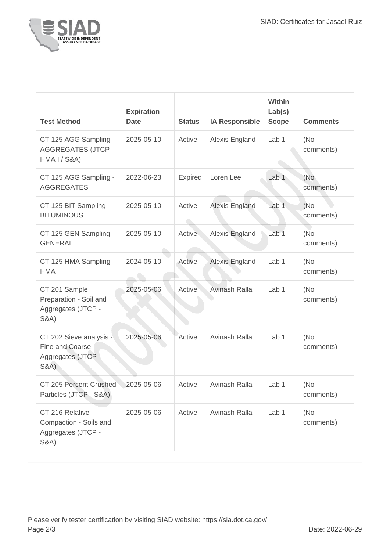

| <b>Test Method</b>                                                                 | <b>Expiration</b><br><b>Date</b> | <b>Status</b>                | <b>IA Responsible</b> | <b>Within</b><br>Lab(s)<br><b>Scope</b> | <b>Comments</b>   |
|------------------------------------------------------------------------------------|----------------------------------|------------------------------|-----------------------|-----------------------------------------|-------------------|
| CT 125 AGG Sampling -<br><b>AGGREGATES (JTCP -</b><br><b>HMA I / S&amp;A)</b>      | 2025-05-10                       | Active                       | Alexis England        | Lab 1                                   | (No)<br>comments) |
| CT 125 AGG Sampling -<br><b>AGGREGATES</b>                                         | 2022-06-23                       | <b>Expired</b>               | Loren Lee             | Lab <sub>1</sub>                        | (No<br>comments)  |
| CT 125 BIT Sampling -<br><b>BITUMINOUS</b>                                         | 2025-05-10                       | Active<br>$\curvearrowright$ | <b>Alexis England</b> | Lab <sub>1</sub>                        | (No)<br>comments) |
| CT 125 GEN Sampling -<br><b>GENERAL</b>                                            | 2025-05-10                       | Active                       | Alexis England        | Lab <sub>1</sub>                        | (No)<br>comments) |
| CT 125 HMA Sampling -<br><b>HMA</b>                                                | 2024-05-10                       | Active                       | Alexis England        | Lab 1                                   | (No)<br>comments) |
| CT 201 Sample<br>Preparation - Soil and<br>Aggregates (JTCP -<br><b>S&amp;A)</b>   | 2025-05-06                       | Active                       | Avinash Ralla         | Lab <sub>1</sub>                        | (No)<br>comments) |
| CT 202 Sieve analysis -<br>Fine and Coarse<br>Aggregates (JTCP -<br>S&A)           | 2025-05-06                       | Active                       | Avinash Ralla         | Lab <sub>1</sub>                        | (No)<br>comments) |
| CT 205 Percent Crushed<br>Particles (JTCP - S&A)                                   | 2025-05-06                       | Active                       | Avinash Ralla         | Lab 1                                   | (No<br>comments)  |
| CT 216 Relative<br>Compaction - Soils and<br>Aggregates (JTCP -<br><b>S&amp;A)</b> | 2025-05-06                       | Active                       | Avinash Ralla         | Lab <sub>1</sub>                        | (No)<br>comments) |